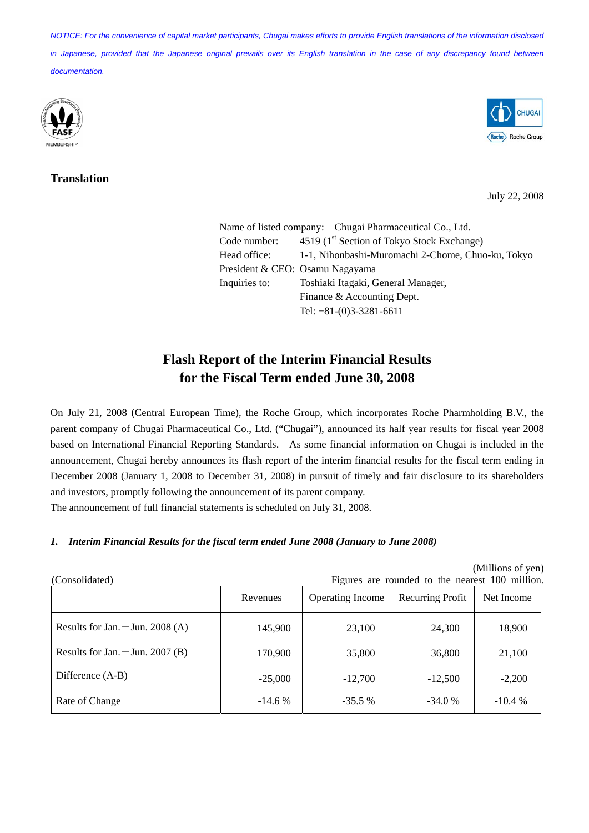*NOTICE: For the convenience of capital market participants, Chugai makes efforts to provide English translations of the information disclosed in Japanese, provided that the Japanese original prevails over its English translation in the case of any discrepancy found between documentation.*



## **Translation**



July 22, 2008

Name of listed company: Chugai Pharmaceutical Co., Ltd. Code number:  $4519 (1<sup>st</sup> Section of Tokyo Stock Exchange)$ Head office: 1-1, Nihonbashi-Muromachi 2-Chome, Chuo-ku, Tokyo President & CEO: Osamu Nagayama Inquiries to: Toshiaki Itagaki, General Manager, Finance & Accounting Dept. Tel: +81-(0)3-3281-6611

# **Flash Report of the Interim Financial Results for the Fiscal Term ended June 30, 2008**

On July 21, 2008 (Central European Time), the Roche Group, which incorporates Roche Pharmholding B.V., the parent company of Chugai Pharmaceutical Co., Ltd. ("Chugai"), announced its half year results for fiscal year 2008 based on International Financial Reporting Standards. As some financial information on Chugai is included in the announcement, Chugai hereby announces its flash report of the interim financial results for the fiscal term ending in December 2008 (January 1, 2008 to December 31, 2008) in pursuit of timely and fair disclosure to its shareholders and investors, promptly following the announcement of its parent company.

The announcement of full financial statements is scheduled on July 31, 2008.

## *1. Interim Financial Results for the fiscal term ended June 2008 (January to June 2008)*

| (Consolidated)                   | (Millions of yen)<br>Figures are rounded to the nearest 100 million. |                         |                  |            |
|----------------------------------|----------------------------------------------------------------------|-------------------------|------------------|------------|
|                                  | Revenues                                                             | <b>Operating Income</b> | Recurring Profit | Net Income |
| Results for Jan. $-Jun. 2008(A)$ | 145,900                                                              | 23,100                  | 24,300           | 18,900     |
| Results for Jan. $-Jun. 2007(B)$ | 170,900                                                              | 35,800                  | 36,800           | 21,100     |
| Difference (A-B)                 | $-25,000$                                                            | $-12,700$               | $-12,500$        | $-2,200$   |
| Rate of Change                   | $-14.6%$                                                             | $-35.5%$                | $-34.0%$         | $-10.4\%$  |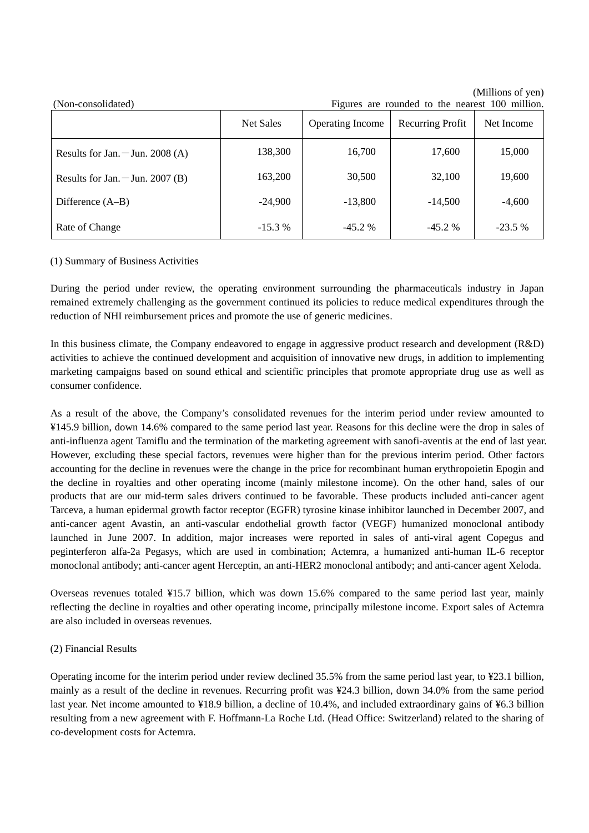| (Non-consolidated)               | Figures are rounded to the nearest 100 million. |                         |                  |            |
|----------------------------------|-------------------------------------------------|-------------------------|------------------|------------|
|                                  | <b>Net Sales</b>                                | <b>Operating Income</b> | Recurring Profit | Net Income |
| Results for Jan. $-Jun. 2008(A)$ | 138,300                                         | 16,700                  | 17,600           | 15,000     |
| Results for Jan. $-Jun. 2007(B)$ | 163,200                                         | 30,500                  | 32,100           | 19,600     |
| Difference (A–B)                 | $-24,900$                                       | $-13,800$               | $-14,500$        | $-4,600$   |
| Rate of Change                   | $-15.3%$                                        | $-45.2%$                | $-45.2%$         | $-23.5%$   |

(Millions of yen)

#### (1) Summary of Business Activities

During the period under review, the operating environment surrounding the pharmaceuticals industry in Japan remained extremely challenging as the government continued its policies to reduce medical expenditures through the reduction of NHI reimbursement prices and promote the use of generic medicines.

In this business climate, the Company endeavored to engage in aggressive product research and development (R&D) activities to achieve the continued development and acquisition of innovative new drugs, in addition to implementing marketing campaigns based on sound ethical and scientific principles that promote appropriate drug use as well as consumer confidence.

As a result of the above, the Company's consolidated revenues for the interim period under review amounted to ¥145.9 billion, down 14.6% compared to the same period last year. Reasons for this decline were the drop in sales of anti-influenza agent Tamiflu and the termination of the marketing agreement with sanofi-aventis at the end of last year. However, excluding these special factors, revenues were higher than for the previous interim period. Other factors accounting for the decline in revenues were the change in the price for recombinant human erythropoietin Epogin and the decline in royalties and other operating income (mainly milestone income). On the other hand, sales of our products that are our mid-term sales drivers continued to be favorable. These products included anti-cancer agent Tarceva, a human epidermal growth factor receptor (EGFR) tyrosine kinase inhibitor launched in December 2007, and anti-cancer agent Avastin, an anti-vascular endothelial growth factor (VEGF) humanized monoclonal antibody launched in June 2007. In addition, major increases were reported in sales of anti-viral agent Copegus and peginterferon alfa-2a Pegasys, which are used in combination; Actemra, a humanized anti-human IL-6 receptor monoclonal antibody; anti-cancer agent Herceptin, an anti-HER2 monoclonal antibody; and anti-cancer agent Xeloda.

Overseas revenues totaled ¥15.7 billion, which was down 15.6% compared to the same period last year, mainly reflecting the decline in royalties and other operating income, principally milestone income. Export sales of Actemra are also included in overseas revenues.

#### (2) Financial Results

Operating income for the interim period under review declined 35.5% from the same period last year, to ¥23.1 billion, mainly as a result of the decline in revenues. Recurring profit was ¥24.3 billion, down 34.0% from the same period last year. Net income amounted to ¥18.9 billion, a decline of 10.4%, and included extraordinary gains of ¥6.3 billion resulting from a new agreement with F. Hoffmann-La Roche Ltd. (Head Office: Switzerland) related to the sharing of co-development costs for Actemra.